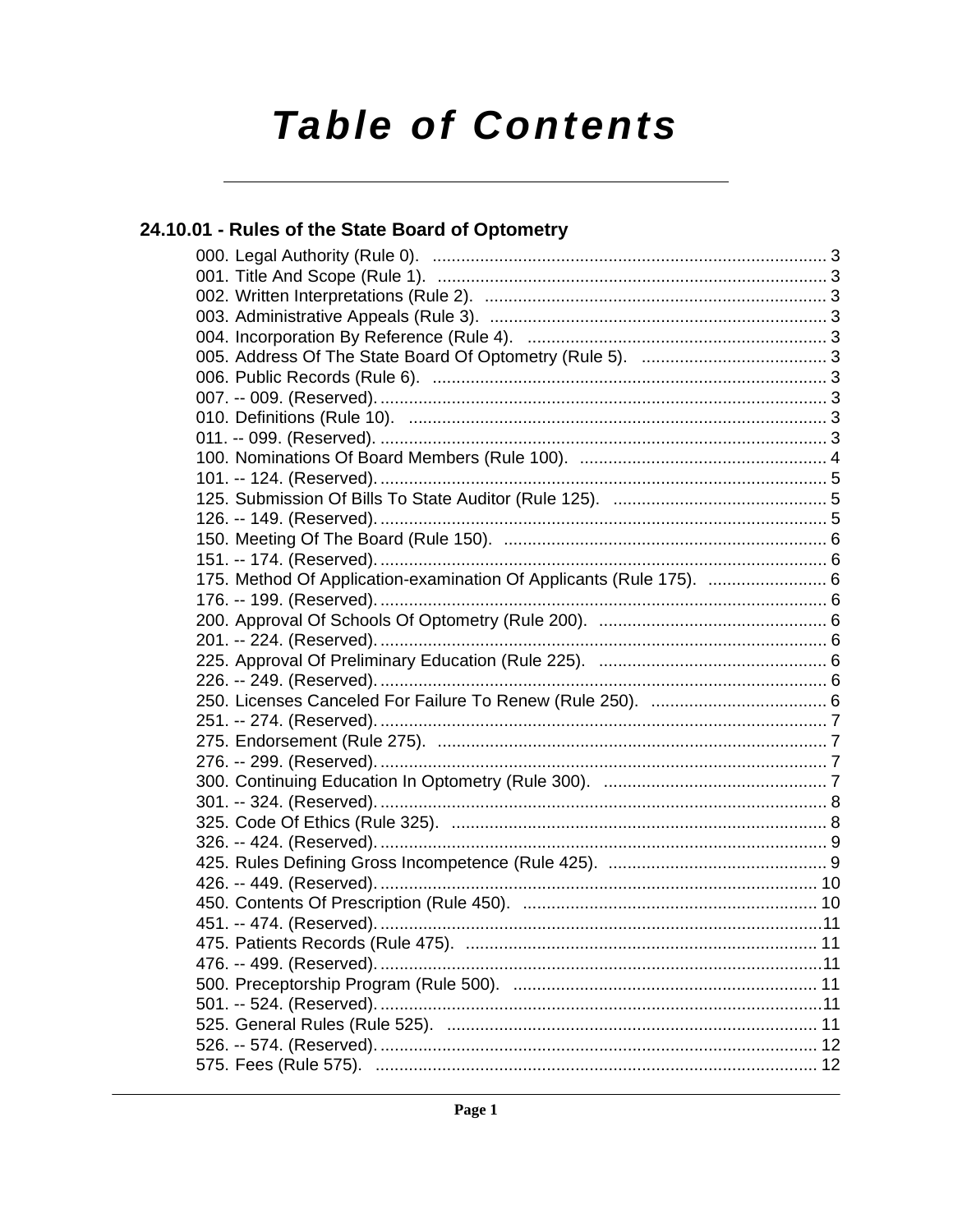# **Table of Contents**

# 24.10.01 - Rules of the State Board of Optometry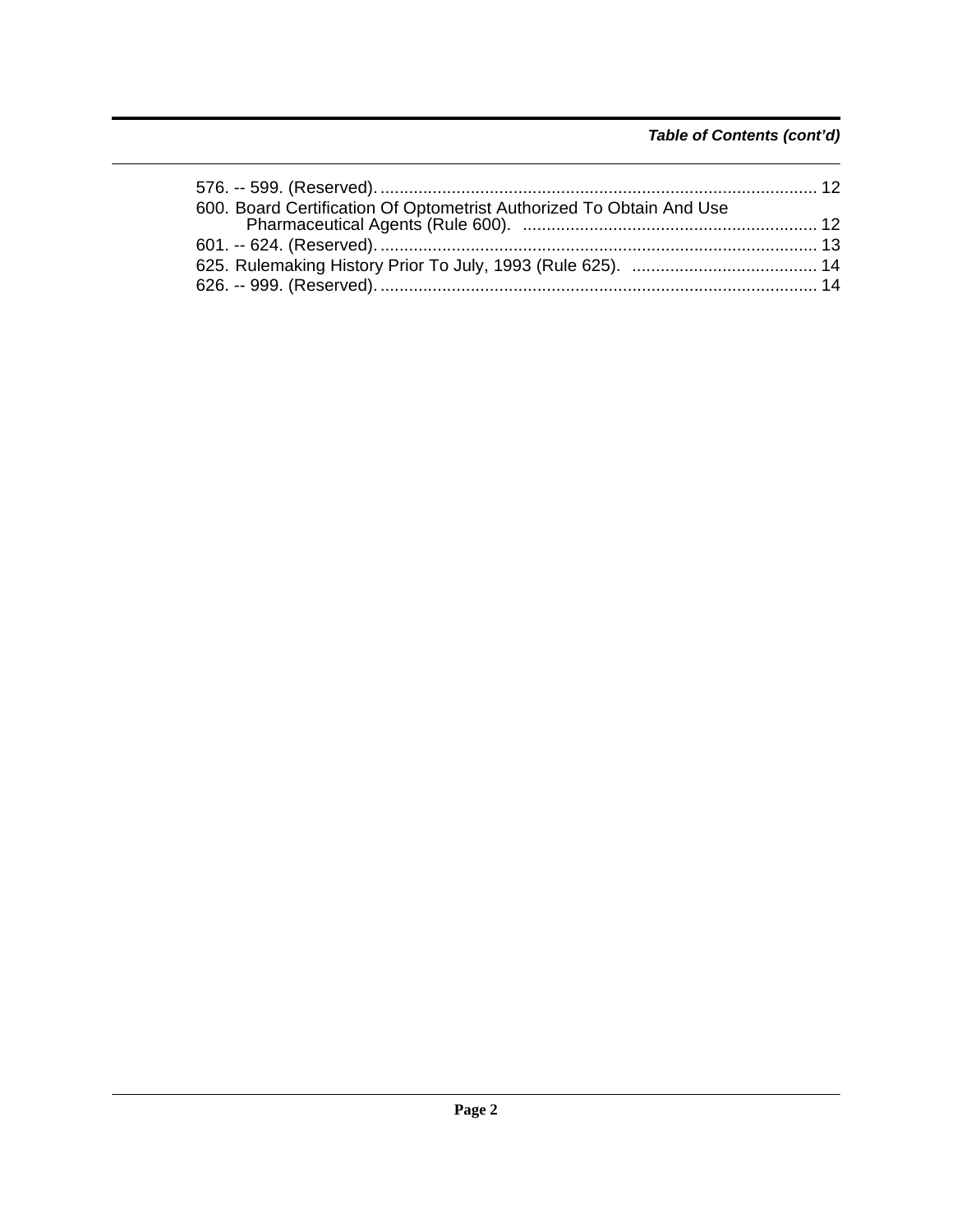# *Table of Contents (cont'd)*

| 600. Board Certification Of Optometrist Authorized To Obtain And Use |  |
|----------------------------------------------------------------------|--|
|                                                                      |  |
|                                                                      |  |
|                                                                      |  |
|                                                                      |  |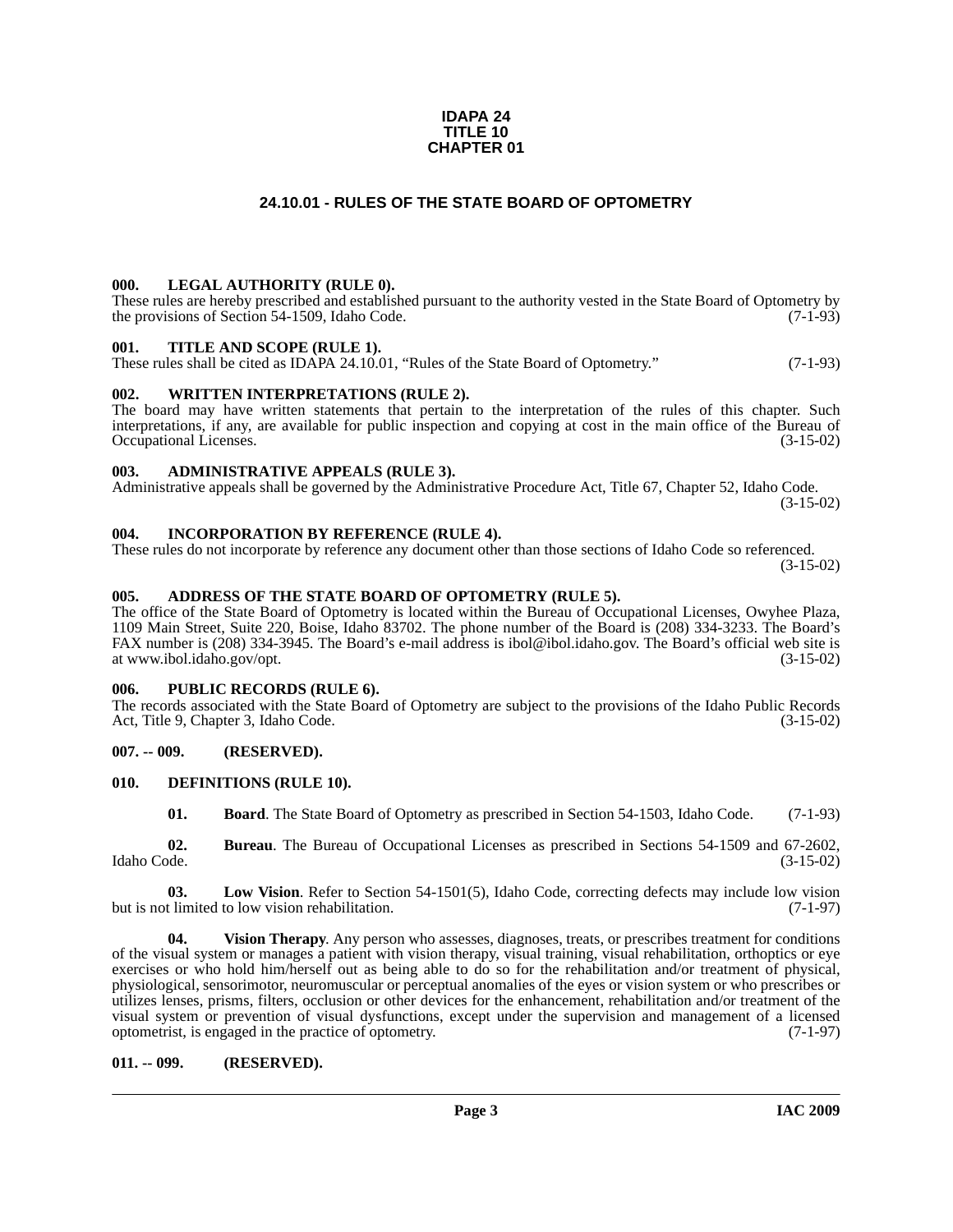#### **IDAPA 24 TITLE 10 CHAPTER 01**

# **24.10.01 - RULES OF THE STATE BOARD OF OPTOMETRY**

#### <span id="page-2-1"></span><span id="page-2-0"></span>**000. LEGAL AUTHORITY (RULE 0).**

These rules are hereby prescribed and established pursuant to the authority vested in the State Board of Optometry by the provisions of Section 54-1509, Idaho Code.  $(7-1-93)$ 

#### <span id="page-2-2"></span>**001. TITLE AND SCOPE (RULE 1).**

These rules shall be cited as IDAPA 24.10.01, "Rules of the State Board of Optometry." (7-1-93)

### <span id="page-2-3"></span>**002. WRITTEN INTERPRETATIONS (RULE 2).**

The board may have written statements that pertain to the interpretation of the rules of this chapter. Such interpretations, if any, are available for public inspection and copying at cost in the main office of the Bureau of Occupational Licenses. (3-15-02)

#### <span id="page-2-4"></span>**003. ADMINISTRATIVE APPEALS (RULE 3).**

Administrative appeals shall be governed by the Administrative Procedure Act, Title 67, Chapter 52, Idaho Code. (3-15-02)

#### <span id="page-2-5"></span>**004. INCORPORATION BY REFERENCE (RULE 4).**

These rules do not incorporate by reference any document other than those sections of Idaho Code so referenced. (3-15-02)

#### <span id="page-2-6"></span>**005. ADDRESS OF THE STATE BOARD OF OPTOMETRY (RULE 5).**

[The office of the State Board of Optometry is located within the Bureau of Occupational Licenses, Owyhee Plaza,](http://ibol.idaho.gov/opt.htm)  1109 Main Street, Suite 220, Boise, Idaho 83702. The phone number of the Board is (208) 334-3233. The Board's FAX number is (208) 334-3945. The Board's e-mail address is ibol@ibol.idaho.gov. The Board's official web site is at www.ibol.idaho.gov/opt.

#### <span id="page-2-7"></span>**006. PUBLIC RECORDS (RULE 6).**

The records associated with the State Board of Optometry are subject to the provisions of the Idaho Public Records Act, Title 9, Chapter 3, Idaho Code. (3-15-02)

#### <span id="page-2-8"></span>**007. -- 009. (RESERVED).**

#### <span id="page-2-9"></span>**010. DEFINITIONS (RULE 10).**

<span id="page-2-13"></span><span id="page-2-12"></span><span id="page-2-11"></span>**01. Board**. The State Board of Optometry as prescribed in Section 54-1503, Idaho Code. (7-1-93)

**02. Bureau**. The Bureau of Occupational Licenses as prescribed in Sections 54-1509 and 67-2602, Idaho Code. (3-15-02)

**03. Low Vision**. Refer to Section 54-1501(5), Idaho Code, correcting defects may include low vision but is not limited to low vision rehabilitation. (7-1-97)

<span id="page-2-14"></span>**04. Vision Therapy**. Any person who assesses, diagnoses, treats, or prescribes treatment for conditions of the visual system or manages a patient with vision therapy, visual training, visual rehabilitation, orthoptics or eye exercises or who hold him/herself out as being able to do so for the rehabilitation and/or treatment of physical, physiological, sensorimotor, neuromuscular or perceptual anomalies of the eyes or vision system or who prescribes or utilizes lenses, prisms, filters, occlusion or other devices for the enhancement, rehabilitation and/or treatment of the visual system or prevention of visual dysfunctions, except under the supervision and management of a licensed optometrist, is engaged in the practice of optometry. (7-1-97)

#### <span id="page-2-10"></span>**011. -- 099. (RESERVED).**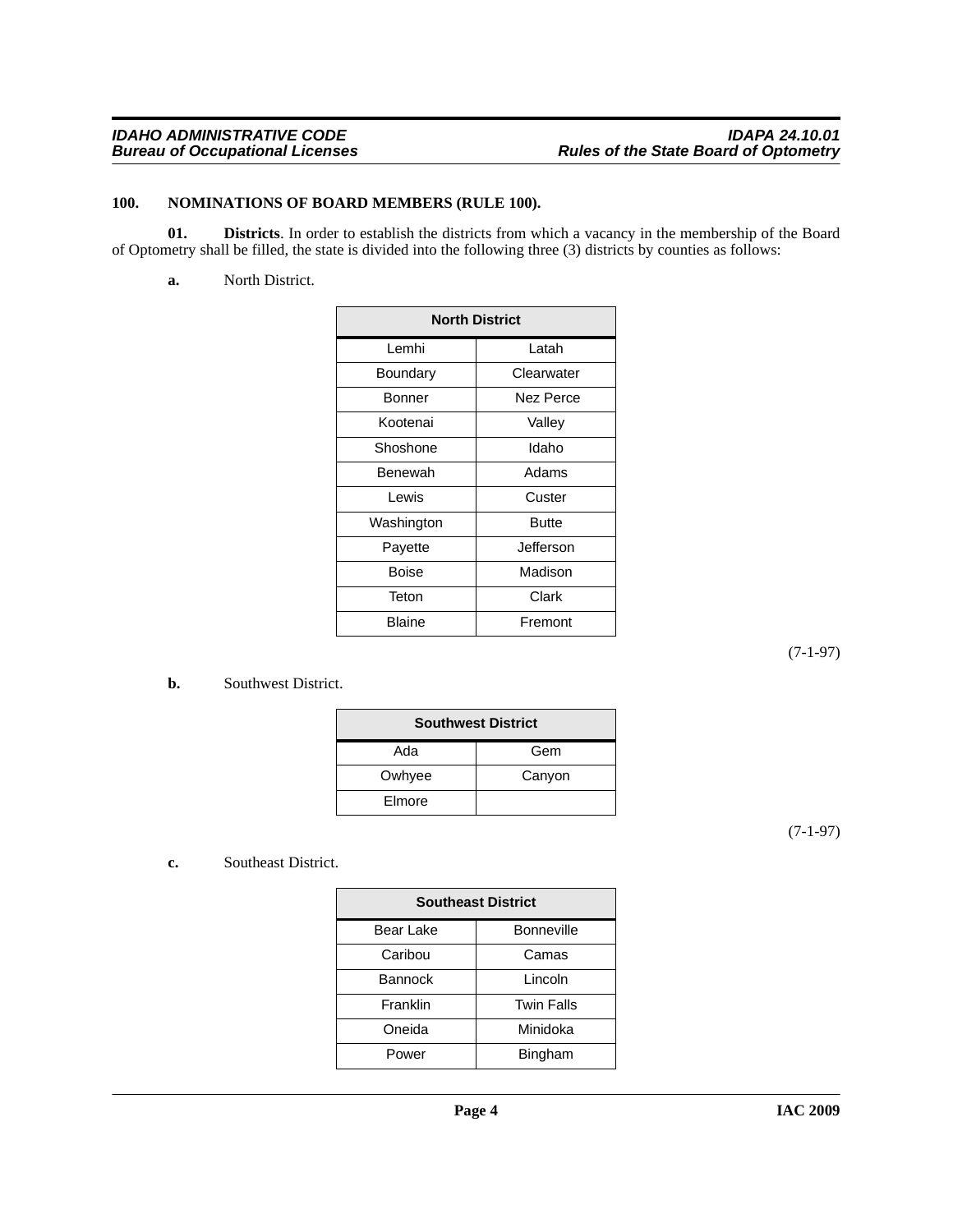### <span id="page-3-2"></span><span id="page-3-0"></span>**100. NOMINATIONS OF BOARD MEMBERS (RULE 100).**

**01. Districts**. In order to establish the districts from which a vacancy in the membership of the Board of Optometry shall be filled, the state is divided into the following three (3) districts by counties as follows:

<span id="page-3-1"></span>**a.** North District.

| <b>North District</b> |              |  |
|-----------------------|--------------|--|
| Lemhi                 | Latah        |  |
| Boundary              | Clearwater   |  |
| Bonner                | Nez Perce    |  |
| Kootenai              | Valley       |  |
| Shoshone              | Idaho        |  |
| Benewah               | Adams        |  |
| Lewis                 | Custer       |  |
| Washington            | <b>Butte</b> |  |
| Payette               | Jefferson    |  |
| Boise                 | Madison      |  |
| Teton                 | Clark        |  |
| Blaine                | Fremont      |  |

(7-1-97)

### **b.** Southwest District.

| <b>Southwest District</b> |        |  |
|---------------------------|--------|--|
| Ada                       | Gem    |  |
| Owhyee                    | Canyon |  |
| Elmore                    |        |  |

(7-1-97)

#### **c.** Southeast District.

| <b>Southeast District</b> |                   |  |
|---------------------------|-------------------|--|
| Bear Lake                 | <b>Bonneville</b> |  |
| Caribou                   | Camas             |  |
| <b>Bannock</b>            | Lincoln           |  |
| Franklin                  | <b>Twin Falls</b> |  |
| Oneida                    | Minidoka          |  |
| Power                     | Bingham           |  |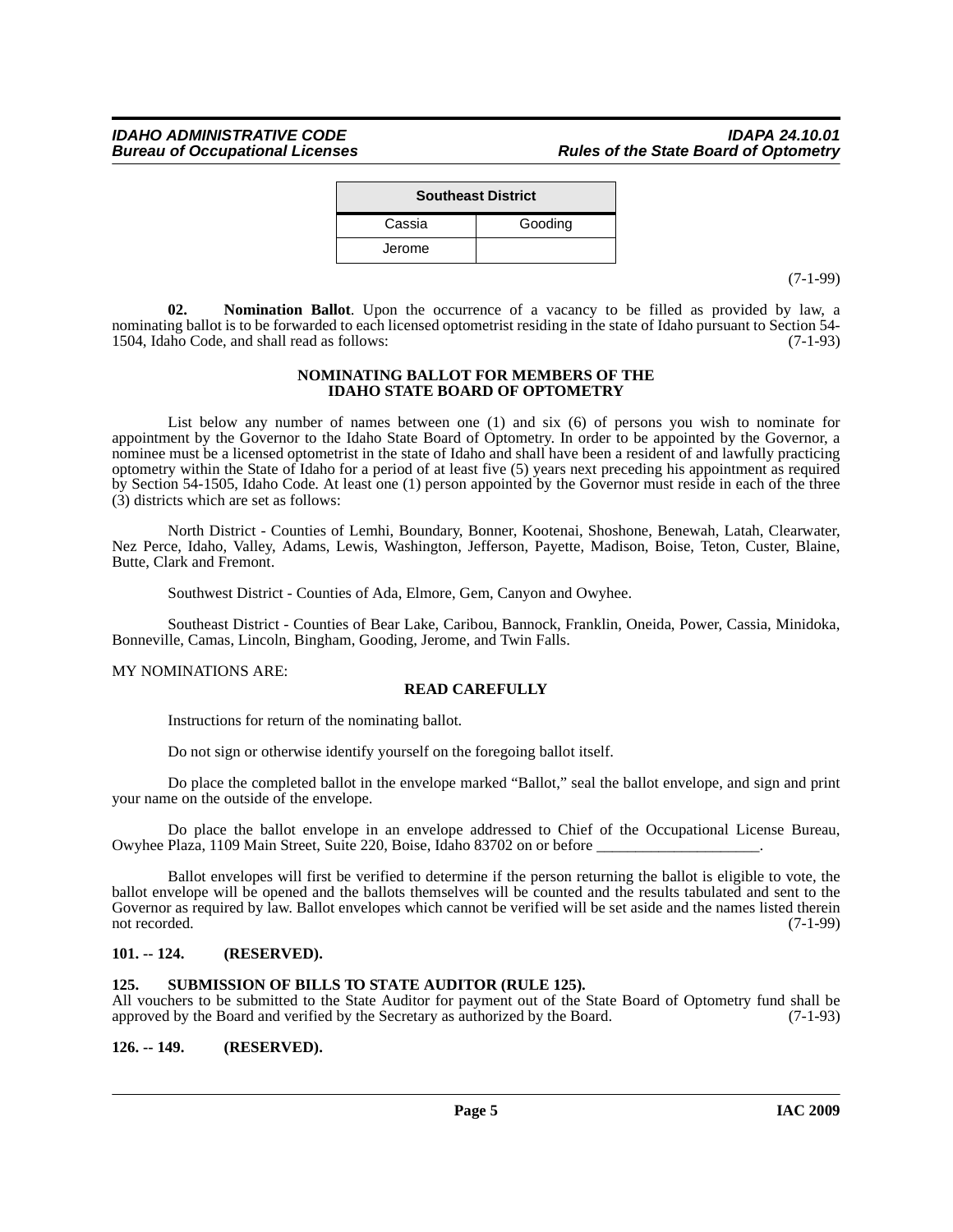| <b>Southeast District</b> |         |  |
|---------------------------|---------|--|
| Cassia                    | Gooding |  |
| Jerome                    |         |  |

(7-1-99)

**02. Nomination Ballot**. Upon the occurrence of a vacancy to be filled as provided by law, a nominating ballot is to be forwarded to each licensed optometrist residing in the state of Idaho pursuant to Section 54-<br>1504. Idaho Code, and shall read as follows: (7-1-93) 1504, Idaho Code, and shall read as follows:

#### <span id="page-4-3"></span>**NOMINATING BALLOT FOR MEMBERS OF THE IDAHO STATE BOARD OF OPTOMETRY**

List below any number of names between one (1) and six (6) of persons you wish to nominate for appointment by the Governor to the Idaho State Board of Optometry. In order to be appointed by the Governor, a nominee must be a licensed optometrist in the state of Idaho and shall have been a resident of and lawfully practicing optometry within the State of Idaho for a period of at least five (5) years next preceding his appointment as required by Section 54-1505, Idaho Code. At least one (1) person appointed by the Governor must reside in each of the three (3) districts which are set as follows:

North District - Counties of Lemhi, Boundary, Bonner, Kootenai, Shoshone, Benewah, Latah, Clearwater, Nez Perce, Idaho, Valley, Adams, Lewis, Washington, Jefferson, Payette, Madison, Boise, Teton, Custer, Blaine, Butte, Clark and Fremont.

Southwest District - Counties of Ada, Elmore, Gem, Canyon and Owyhee.

Southeast District - Counties of Bear Lake, Caribou, Bannock, Franklin, Oneida, Power, Cassia, Minidoka, Bonneville, Camas, Lincoln, Bingham, Gooding, Jerome, and Twin Falls.

#### MY NOMINATIONS ARE:

# **READ CAREFULLY**

Instructions for return of the nominating ballot.

Do not sign or otherwise identify yourself on the foregoing ballot itself.

Do place the completed ballot in the envelope marked "Ballot," seal the ballot envelope, and sign and print your name on the outside of the envelope.

Do place the ballot envelope in an envelope addressed to Chief of the Occupational License Bureau, Owyhee Plaza, 1109 Main Street, Suite 220, Boise, Idaho 83702 on or before \_\_\_\_\_\_\_\_\_\_\_\_\_\_\_\_\_\_\_\_\_.

Ballot envelopes will first be verified to determine if the person returning the ballot is eligible to vote, the ballot envelope will be opened and the ballots themselves will be counted and the results tabulated and sent to the Governor as required by law. Ballot envelopes which cannot be verified will be set aside and the names listed therein not recorded. (7-1-99)

#### <span id="page-4-0"></span>**101. -- 124. (RESERVED).**

#### <span id="page-4-4"></span><span id="page-4-1"></span>**125. SUBMISSION OF BILLS TO STATE AUDITOR (RULE 125).**

All vouchers to be submitted to the State Auditor for payment out of the State Board of Optometry fund shall be approved by the Board and verified by the Secretary as authorized by the Board. (7-1-93)

<span id="page-4-2"></span>**126. -- 149. (RESERVED).**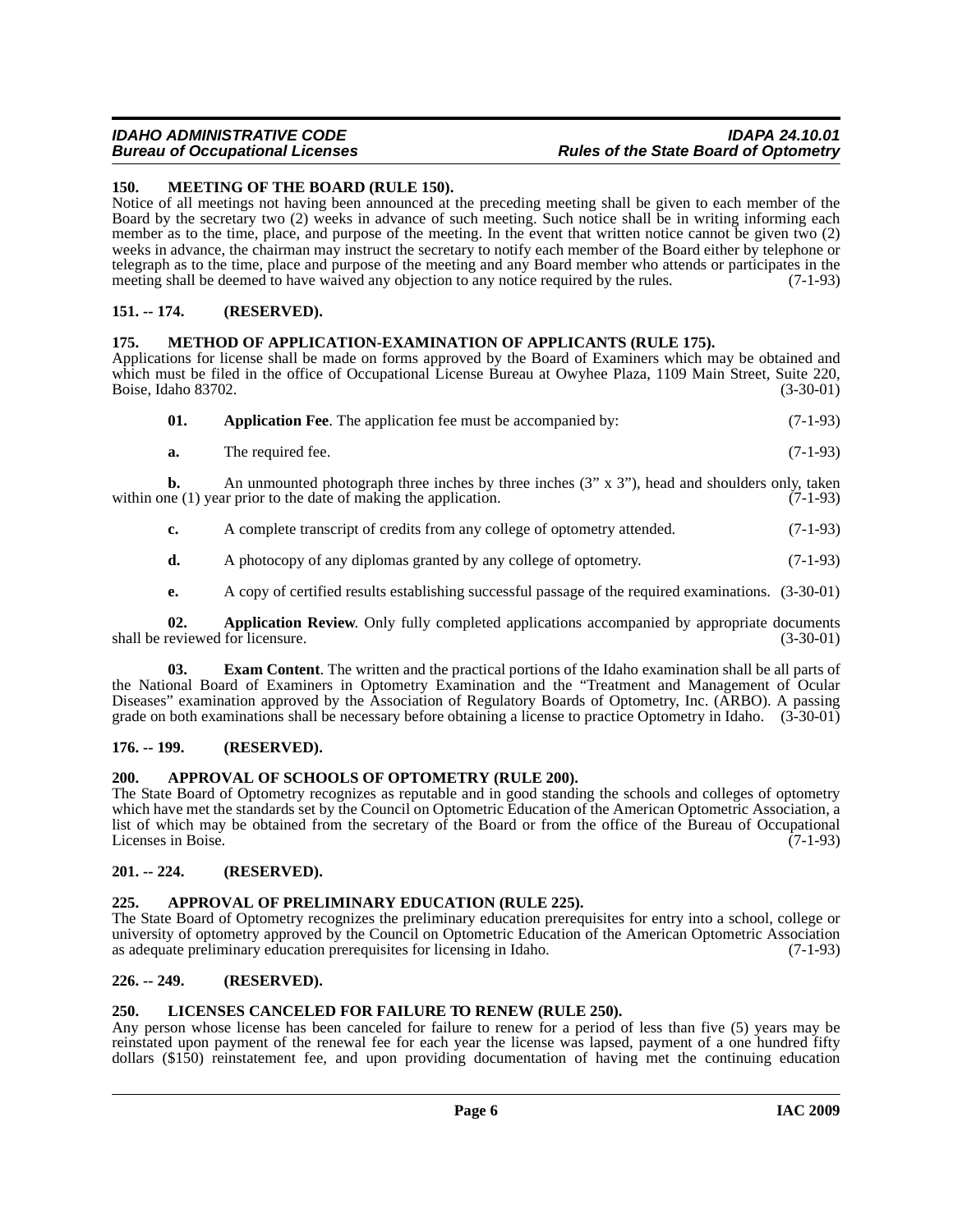# *IDAHO ADMINISTRATIVE CODE IDAPA 24.10.01* **Rules of the State Board of Optometry**

<span id="page-5-15"></span><span id="page-5-0"></span>**150. MEETING OF THE BOARD (RULE 150).**

Notice of all meetings not having been announced at the preceding meeting shall be given to each member of the Board by the secretary two (2) weeks in advance of such meeting. Such notice shall be in writing informing each member as to the time, place, and purpose of the meeting. In the event that written notice cannot be given two (2) weeks in advance, the chairman may instruct the secretary to notify each member of the Board either by telephone or telegraph as to the time, place and purpose of the meeting and any Board member who attends or participates in the meeting shall be deemed to have waived any objection to any notice required by the rules (7-1-93) meeting shall be deemed to have waived any objection to any notice required by the rules.

# <span id="page-5-1"></span>**151. -- 174. (RESERVED).**

### <span id="page-5-16"></span><span id="page-5-2"></span>**175. METHOD OF APPLICATION-EXAMINATION OF APPLICANTS (RULE 175).**

Applications for license shall be made on forms approved by the Board of Examiners which may be obtained and which must be filed in the office of Occupational License Bureau at Owyhee Plaza, 1109 Main Street, Suite 220, Boise, Idaho 83702. (3-30-01)

<span id="page-5-9"></span>

| 01. | <b>Application Fee.</b> The application fee must be accompanied by: | $(7-1-93)$ |
|-----|---------------------------------------------------------------------|------------|
|-----|---------------------------------------------------------------------|------------|

**a.** The required fee. (7-1-93)

**b.** An unmounted photograph three inches by three inches (3" x 3"), head and shoulders only, taken within one  $(1)$  year prior to the date of making the application.  $(7-1-93)$ 

- **c.** A complete transcript of credits from any college of optometry attended.  $(7-1-93)$
- **d.** A photocopy of any diplomas granted by any college of optometry. (7-1-93)
- <span id="page-5-13"></span><span id="page-5-10"></span>**e.** A copy of certified results establishing successful passage of the required examinations. (3-30-01)

**02. Application Review**. Only fully completed applications accompanied by appropriate documents shall be reviewed for licensure. (3-30-01)

**03. Exam Content**. The written and the practical portions of the Idaho examination shall be all parts of the National Board of Examiners in Optometry Examination and the "Treatment and Management of Ocular Diseases" examination approved by the Association of Regulatory Boards of Optometry, Inc. (ARBO). A passing grade on both examinations shall be necessary before obtaining a license to practice Optometry in Idaho. (3-30-01)

#### <span id="page-5-3"></span>**176. -- 199. (RESERVED).**

# <span id="page-5-12"></span><span id="page-5-4"></span>**200. APPROVAL OF SCHOOLS OF OPTOMETRY (RULE 200).**

The State Board of Optometry recognizes as reputable and in good standing the schools and colleges of optometry which have met the standards set by the Council on Optometric Education of the American Optometric Association, a list of which may be obtained from the secretary of the Board or from the office of the Bureau of Occupational Licenses in Boise. (7-1-93)

# <span id="page-5-5"></span>**201. -- 224. (RESERVED).**

# <span id="page-5-11"></span><span id="page-5-6"></span>**225. APPROVAL OF PRELIMINARY EDUCATION (RULE 225).**

The State Board of Optometry recognizes the preliminary education prerequisites for entry into a school, college or university of optometry approved by the Council on Optometric Education of the American Optometric Association<br>as adequate preliminary education prerequisites for licensing in Idaho. (7-1-93) as adequate preliminary education prerequisites for licensing in Idaho.

# <span id="page-5-7"></span>**226. -- 249. (RESERVED).**

### <span id="page-5-14"></span><span id="page-5-8"></span>**250. LICENSES CANCELED FOR FAILURE TO RENEW (RULE 250).**

Any person whose license has been canceled for failure to renew for a period of less than five (5) years may be reinstated upon payment of the renewal fee for each year the license was lapsed, payment of a one hundred fifty dollars (\$150) reinstatement fee, and upon providing documentation of having met the continuing education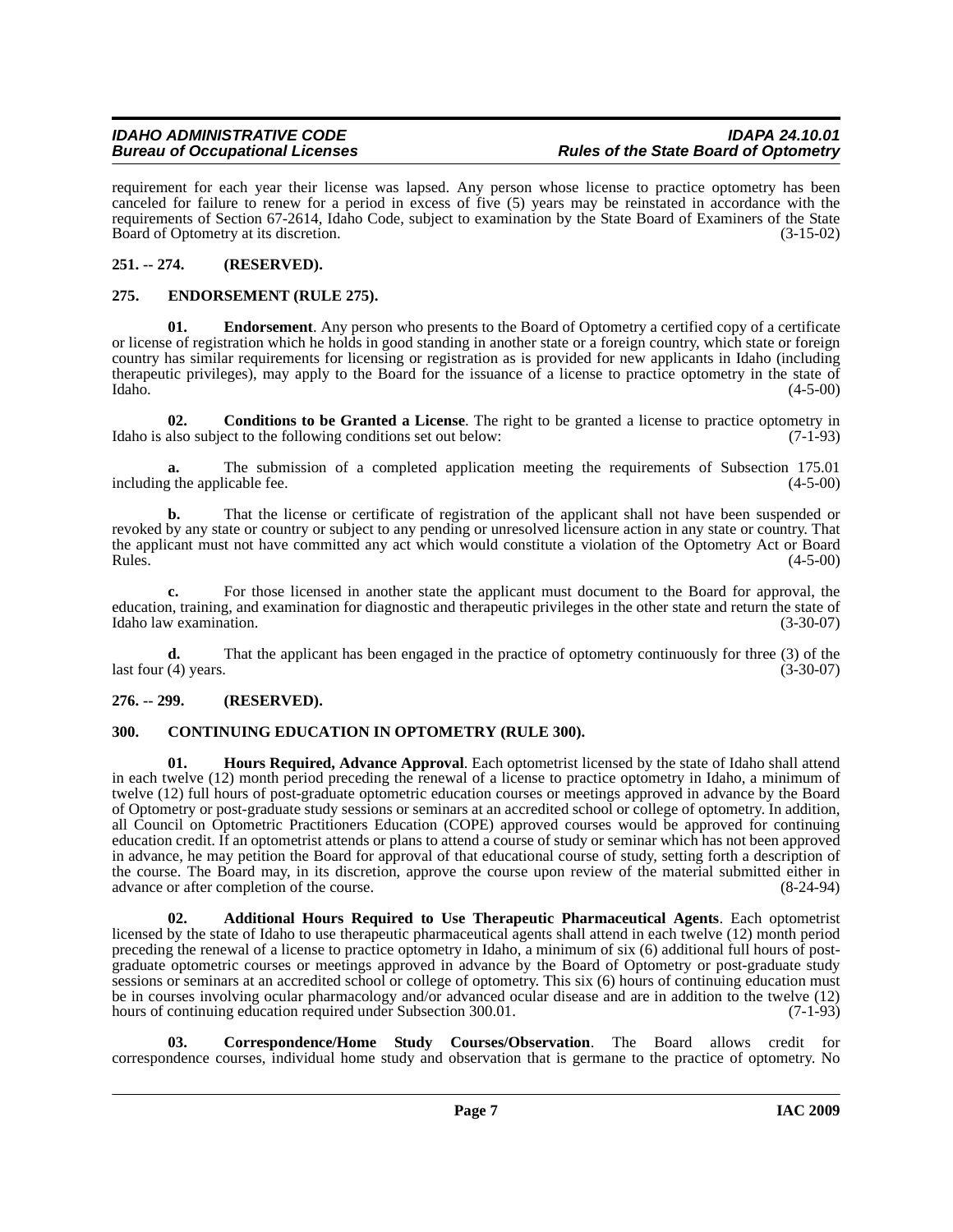requirement for each year their license was lapsed. Any person whose license to practice optometry has been canceled for failure to renew for a period in excess of five (5) years may be reinstated in accordance with the requirements of Section 67-2614, Idaho Code, subject to examination by the State Board of Examiners of the State Board of Optometry at its discretion. (3-15-02)

# <span id="page-6-0"></span>**251. -- 274. (RESERVED).**

# <span id="page-6-8"></span><span id="page-6-1"></span>**275. ENDORSEMENT (RULE 275).**

**Endorsement**. Any person who presents to the Board of Optometry a certified copy of a certificate or license of registration which he holds in good standing in another state or a foreign country, which state or foreign country has similar requirements for licensing or registration as is provided for new applicants in Idaho (including therapeutic privileges), may apply to the Board for the issuance of a license to practice optometry in the state of Idaho. (4-5-00)

<span id="page-6-5"></span>**02. Conditions to be Granted a License**. The right to be granted a license to practice optometry in also subject to the following conditions set out below: (7-1-93) Idaho is also subject to the following conditions set out below:

**a.** The submission of a completed application meeting the requirements of Subsection 175.01 including the applicable fee. (4-5-00)

**b.** That the license or certificate of registration of the applicant shall not have been suspended or revoked by any state or country or subject to any pending or unresolved licensure action in any state or country. That the applicant must not have committed any act which would constitute a violation of the Optometry Act or Board  $Rules.$  (4-5-00)

**c.** For those licensed in another state the applicant must document to the Board for approval, the education, training, and examination for diagnostic and therapeutic privileges in the other state and return the state of Idaho law examination. (3-30-07)

**d.** That the applicant has been engaged in the practice of optometry continuously for three (3) of the  $\frac{1}{2}$  last four (4) years. (3-30-07)

# <span id="page-6-2"></span>**276. -- 299. (RESERVED).**

# <span id="page-6-6"></span><span id="page-6-3"></span>**300. CONTINUING EDUCATION IN OPTOMETRY (RULE 300).**

<span id="page-6-9"></span>**01. Hours Required, Advance Approval**. Each optometrist licensed by the state of Idaho shall attend in each twelve (12) month period preceding the renewal of a license to practice optometry in Idaho, a minimum of twelve (12) full hours of post-graduate optometric education courses or meetings approved in advance by the Board of Optometry or post-graduate study sessions or seminars at an accredited school or college of optometry. In addition, all Council on Optometric Practitioners Education (COPE) approved courses would be approved for continuing education credit. If an optometrist attends or plans to attend a course of study or seminar which has not been approved in advance, he may petition the Board for approval of that educational course of study, setting forth a description of the course. The Board may, in its discretion, approve the course upon review of the material submitted either in advance or after completion of the course. (8-24-94) advance or after completion of the course.

<span id="page-6-4"></span>**02. Additional Hours Required to Use Therapeutic Pharmaceutical Agents**. Each optometrist licensed by the state of Idaho to use therapeutic pharmaceutical agents shall attend in each twelve (12) month period preceding the renewal of a license to practice optometry in Idaho, a minimum of six (6) additional full hours of postgraduate optometric courses or meetings approved in advance by the Board of Optometry or post-graduate study sessions or seminars at an accredited school or college of optometry. This six (6) hours of continuing education must be in courses involving ocular pharmacology and/or advanced ocular disease and are in addition to the twelve (12) hours of continuing education required under Subsection 300.01. (7-1-93)

<span id="page-6-7"></span>**03. Correspondence/Home Study Courses/Observation**. The Board allows credit for correspondence courses, individual home study and observation that is germane to the practice of optometry. No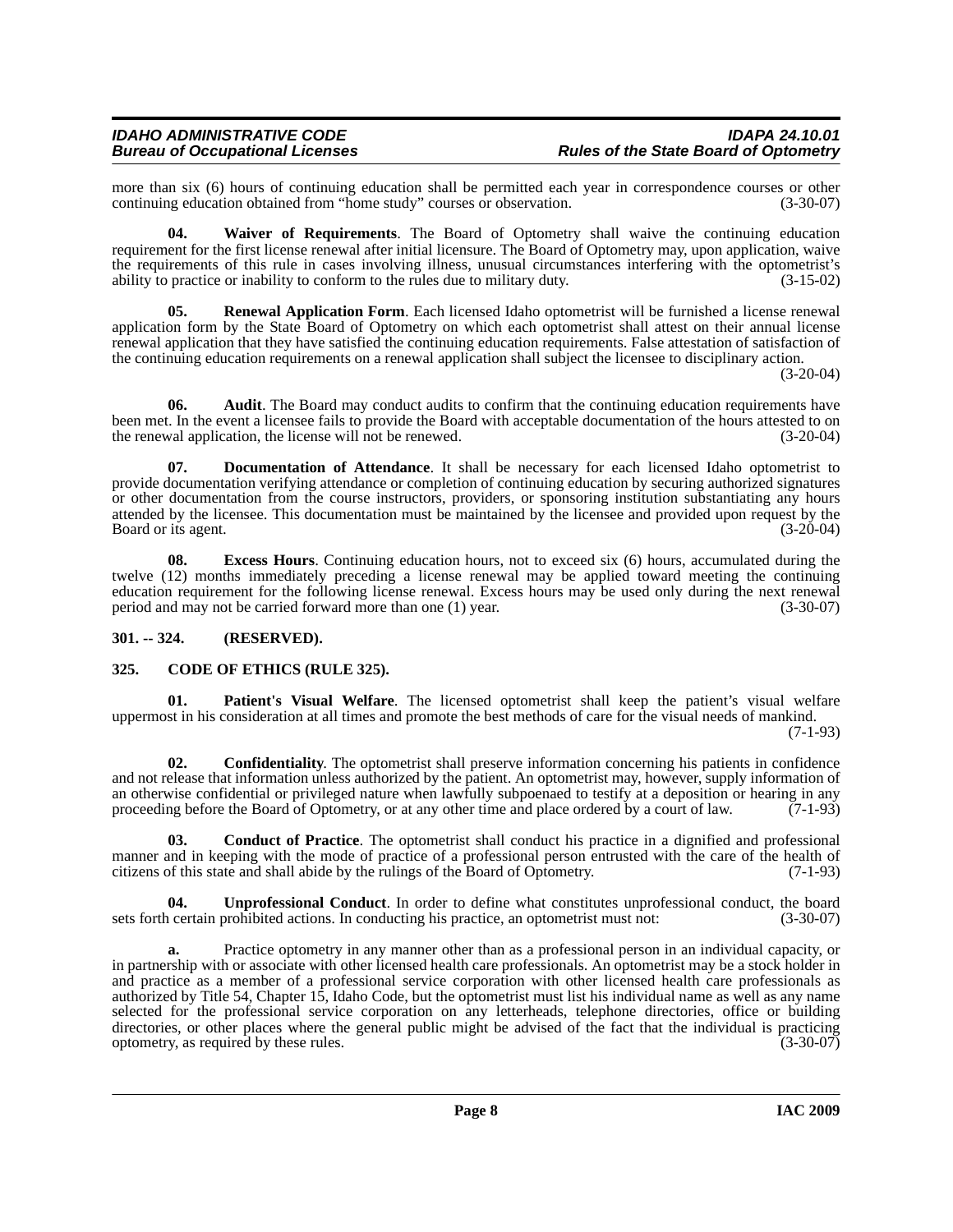more than six (6) hours of continuing education shall be permitted each year in correspondence courses or other<br>continuing education obtained from "home study" courses or observation. (3-30-07) continuing education obtained from "home study" courses or observation.

<span id="page-7-9"></span>**04. Waiver of Requirements**. The Board of Optometry shall waive the continuing education requirement for the first license renewal after initial licensure. The Board of Optometry may, upon application, waive the requirements of this rule in cases involving illness, unusual circumstances interfering with the optometrist's ability to practice or inability to conform to the rules due to military duty.  $(3-15-02)$ ability to practice or inability to conform to the rules due to military duty.

<span id="page-7-7"></span>**05. Renewal Application Form**. Each licensed Idaho optometrist will be furnished a license renewal application form by the State Board of Optometry on which each optometrist shall attest on their annual license renewal application that they have satisfied the continuing education requirements. False attestation of satisfaction of the continuing education requirements on a renewal application shall subject the licensee to disciplinary action.

(3-20-04)

**06.** Audit. The Board may conduct audits to confirm that the continuing education requirements have been met. In the event a licensee fails to provide the Board with acceptable documentation of the hours attested to on the renewal application, the license will not be renewed. (3-20-04) the renewal application, the license will not be renewed.

<span id="page-7-5"></span>**07. Documentation of Attendance**. It shall be necessary for each licensed Idaho optometrist to provide documentation verifying attendance or completion of continuing education by securing authorized signatures or other documentation from the course instructors, providers, or sponsoring institution substantiating any hours attended by the licensee. This documentation must be maintained by the licensee and provided upon request by the Board or its agent. (3-20-04) Board or its agent.

**08. Excess Hours**. Continuing education hours, not to exceed six (6) hours, accumulated during the twelve (12) months immediately preceding a license renewal may be applied toward meeting the continuing education requirement for the following license renewal. Excess hours may be used only during the next renewal<br>period and may not be carried forward more than one (1) year. (3-30-07) period and may not be carried forward more than one  $(1)$  year.

# <span id="page-7-0"></span>**301. -- 324. (RESERVED).**

# <span id="page-7-2"></span><span id="page-7-1"></span>**325. CODE OF ETHICS (RULE 325).**

<span id="page-7-6"></span>**01. Patient's Visual Welfare**. The licensed optometrist shall keep the patient's visual welfare uppermost in his consideration at all times and promote the best methods of care for the visual needs of mankind. (7-1-93)

<span id="page-7-4"></span>**02. Confidentiality**. The optometrist shall preserve information concerning his patients in confidence and not release that information unless authorized by the patient. An optometrist may, however, supply information of an otherwise confidential or privileged nature when lawfully subpoenaed to testify at a deposition or hearing in any proceeding before the Board of Optometry, or at any other time and place ordered by a court of law.  $(7-1-93)$ 

<span id="page-7-3"></span>**03. Conduct of Practice**. The optometrist shall conduct his practice in a dignified and professional manner and in keeping with the mode of practice of a professional person entrusted with the care of the health of citizens of this state and shall abide by the rulings of the Board of Optometry. (7-1-93)

<span id="page-7-8"></span>**04. Unprofessional Conduct**. In order to define what constitutes unprofessional conduct, the board sets forth certain prohibited actions. In conducting his practice, an optometrist must not: (3-30-07)

**a.** Practice optometry in any manner other than as a professional person in an individual capacity, or in partnership with or associate with other licensed health care professionals. An optometrist may be a stock holder in and practice as a member of a professional service corporation with other licensed health care professionals as authorized by Title 54, Chapter 15, Idaho Code, but the optometrist must list his individual name as well as any name selected for the professional service corporation on any letterheads, telephone directories, office or building directories, or other places where the general public might be advised of the fact that the individual is practicing optometry, as required by these rules. (3-30-07) optometry, as required by these rules.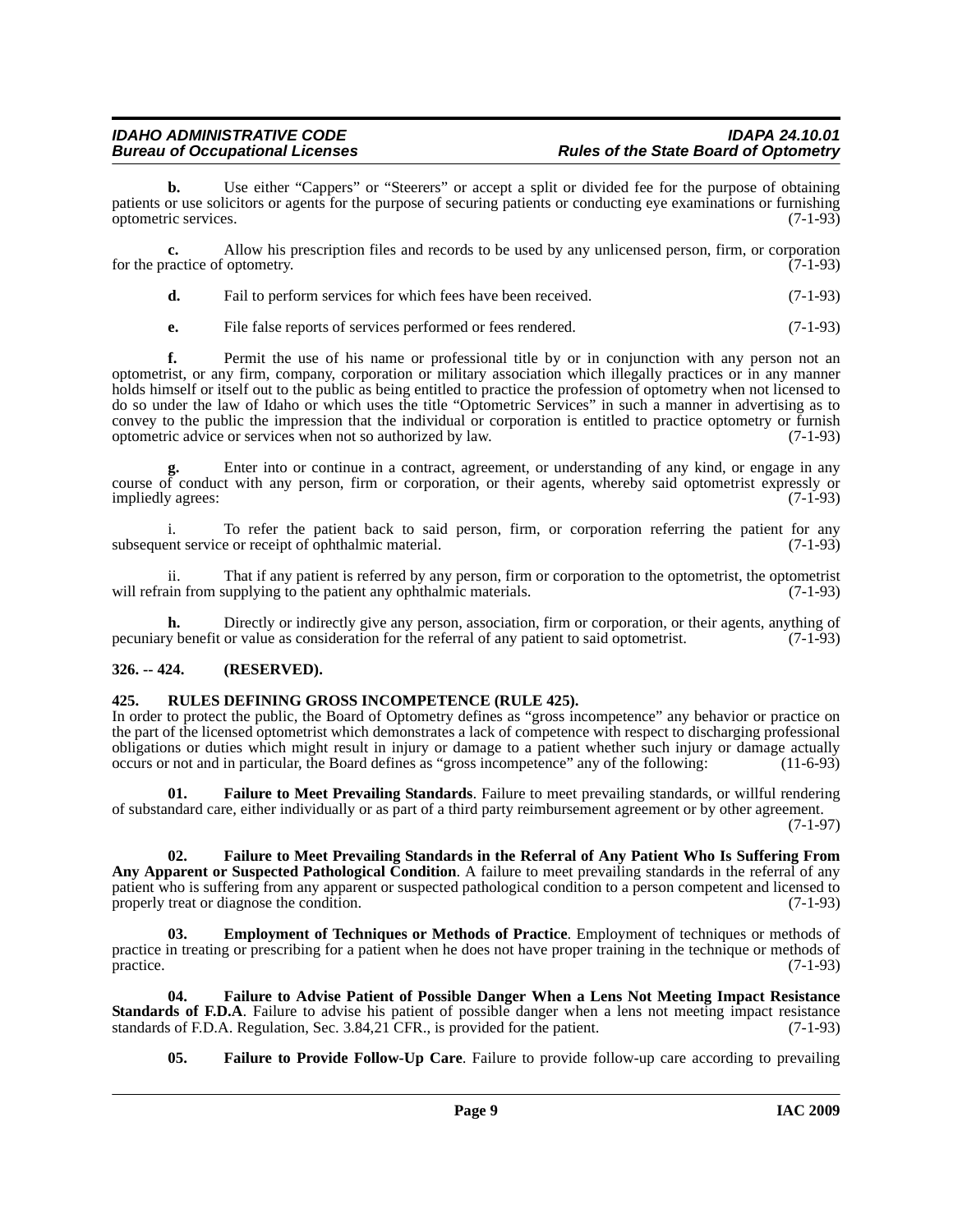# *IDAHO ADMINISTRATIVE CODE IDAPA 24.10.01* **Rules of the State Board of Optometry**

**b.** Use either "Cappers" or "Steerers" or accept a split or divided fee for the purpose of obtaining patients or use solicitors or agents for the purpose of securing patients or conducting eye examinations or furnishing optometric services. (7-1-93)

**c.** Allow his prescription files and records to be used by any unlicensed person, firm, or corporation for the practice of optometry. (7-1-93)

| d. | Fail to perform services for which fees have been received. | $(7-1-93)$ |
|----|-------------------------------------------------------------|------------|
|    |                                                             |            |

**e.** File false reports of services performed or fees rendered. (7-1-93)

**f.** Permit the use of his name or professional title by or in conjunction with any person not an optometrist, or any firm, company, corporation or military association which illegally practices or in any manner holds himself or itself out to the public as being entitled to practice the profession of optometry when not licensed to do so under the law of Idaho or which uses the title "Optometric Services" in such a manner in advertising as to convey to the public the impression that the individual or corporation is entitled to practice optometry or furnish optometric advice or services when not so authorized by law. (7-1-93) optometric advice or services when not so authorized by law.

Enter into or continue in a contract, agreement, or understanding of any kind, or engage in any course of conduct with any person, firm or corporation, or their agents, whereby said optometrist expressly or impliedly agrees: (7-1-93)

i. To refer the patient back to said person, firm, or corporation referring the patient for any subsequent service or receipt of ophthalmic material. (7-1-93)

ii. That if any patient is referred by any person, firm or corporation to the optometrist, the optometrist will refrain from supplying to the patient any ophthalmic materials. (7-1-93)

**h.** Directly or indirectly give any person, association, firm or corporation, or their agents, anything of pecuniary benefit or value as consideration for the referral of any patient to said optometrist. (7-1-93)

#### <span id="page-8-0"></span>**326. -- 424. (RESERVED).**

#### <span id="page-8-7"></span><span id="page-8-1"></span>**425. RULES DEFINING GROSS INCOMPETENCE (RULE 425).**

In order to protect the public, the Board of Optometry defines as "gross incompetence" any behavior or practice on the part of the licensed optometrist which demonstrates a lack of competence with respect to discharging professional obligations or duties which might result in injury or damage to a patient whether such injury or damage actually occurs or not and in particular, the Board defines as "gross incompetence" any of the following: (11-6-93)

<span id="page-8-5"></span>**01. Failure to Meet Prevailing Standards**. Failure to meet prevailing standards, or willful rendering of substandard care, either individually or as part of a third party reimbursement agreement or by other agreement.

(7-1-97)

<span id="page-8-4"></span>**02. Failure to Meet Prevailing Standards in the Referral of Any Patient Who Is Suffering From Any Apparent or Suspected Pathological Condition**. A failure to meet prevailing standards in the referral of any patient who is suffering from any apparent or suspected pathological condition to a person competent and licensed to properly treat or diagnose the condition. (7-1-93)

<span id="page-8-2"></span>**03. Employment of Techniques or Methods of Practice**. Employment of techniques or methods of practice in treating or prescribing for a patient when he does not have proper training in the technique or methods of practice. (7-1-93)

**04. Failure to Advise Patient of Possible Danger When a Lens Not Meeting Impact Resistance Standards of F.D.A**. Failure to advise his patient of possible danger when a lens not meeting impact resistance standards of F.D.A. Regulation, Sec. 3.84,21 CFR., is provided for the patient. (7-1-93) standards of F.D.A. Regulation, Sec. 3.84,21 CFR., is provided for the patient.

<span id="page-8-6"></span><span id="page-8-3"></span>**05. Failure to Provide Follow-Up Care**. Failure to provide follow-up care according to prevailing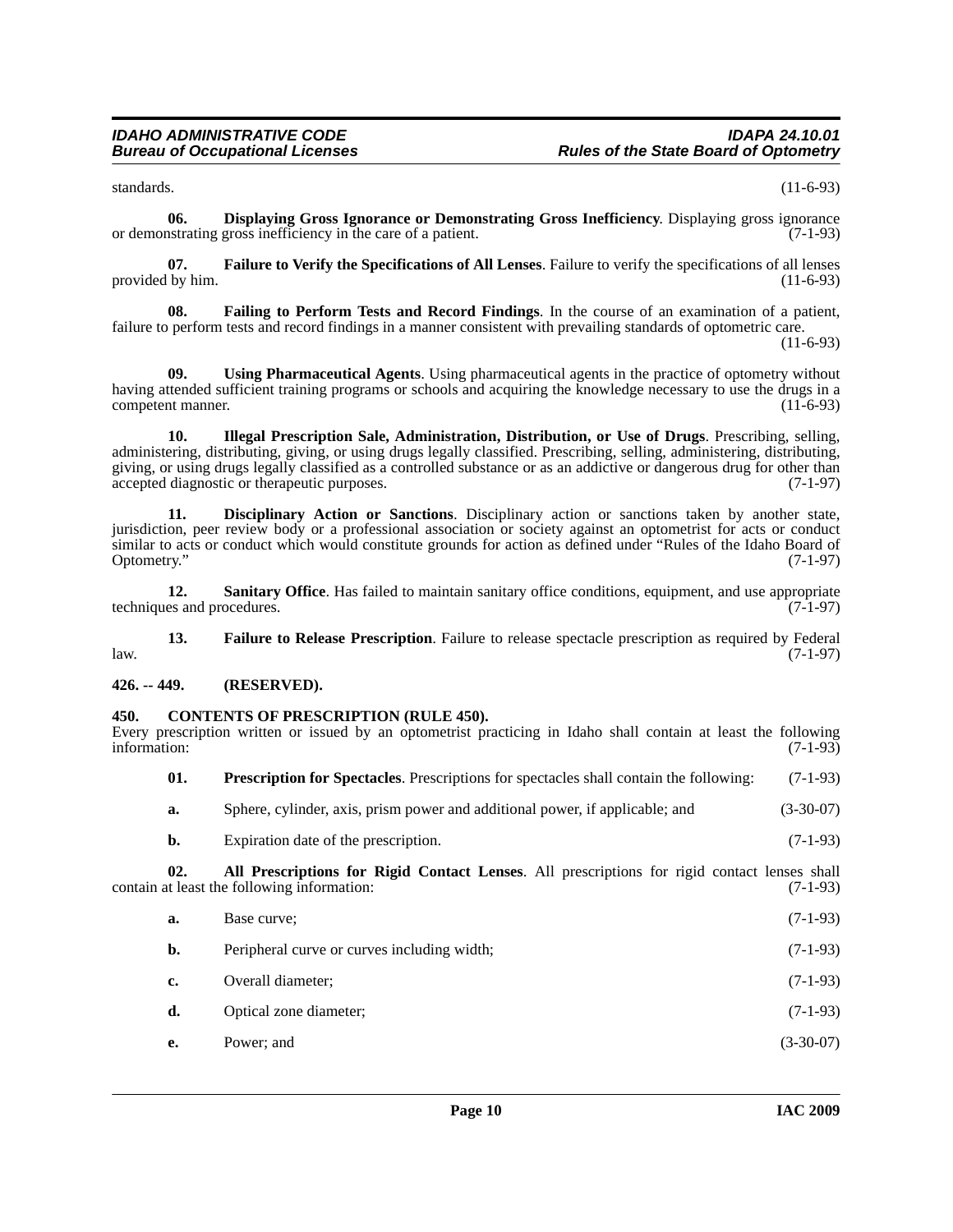<span id="page-9-5"></span>standards. (11-6-93)

**06. Displaying Gross Ignorance or Demonstrating Gross Inefficiency**. Displaying gross ignorance or demonstrating gross inefficiency in the care of a patient. (7-1-93)

<span id="page-9-8"></span>**07. Failure to Verify the Specifications of All Lenses**. Failure to verify the specifications of all lenses provided by him.

<span id="page-9-6"></span>**08. Failing to Perform Tests and Record Findings**. In the course of an examination of a patient, failure to perform tests and record findings in a manner consistent with prevailing standards of optometric care. (11-6-93)

<span id="page-9-12"></span>**09. Using Pharmaceutical Agents**. Using pharmaceutical agents in the practice of optometry without having attended sufficient training programs or schools and acquiring the knowledge necessary to use the drugs in a competent manner. (11-6-93)

<span id="page-9-9"></span>**10. Illegal Prescription Sale, Administration, Distribution, or Use of Drugs**. Prescribing, selling, administering, distributing, giving, or using drugs legally classified. Prescribing, selling, administering, distributing, giving, or using drugs legally classified as a controlled substance or as an addictive or dangerous drug for other than accepted diagnostic or therapeutic purposes. (7-1-97)

<span id="page-9-4"></span>**11. Disciplinary Action or Sanctions**. Disciplinary action or sanctions taken by another state, jurisdiction, peer review body or a professional association or society against an optometrist for acts or conduct similar to acts or conduct which would constitute grounds for action as defined under "Rules of the Idaho Board of Optometry." (7-1-97)

<span id="page-9-11"></span>**12. Sanitary Office**. Has failed to maintain sanitary office conditions, equipment, and use appropriate es and procedures. (7-1-97) techniques and procedures.

<span id="page-9-7"></span>**13. Failure to Release Prescription**. Failure to release spectacle prescription as required by Federal (7-1-97)  $l$ aw.  $(7-1-97)$ 

# <span id="page-9-0"></span>**426. -- 449. (RESERVED).**

#### <span id="page-9-3"></span><span id="page-9-1"></span>**450. CONTENTS OF PRESCRIPTION (RULE 450).**

Every prescription written or issued by an optometrist practicing in Idaho shall contain at least the following information: (7-1-93) information: (7-1-93)

- <span id="page-9-10"></span>**01. Prescription for Spectacles**. Prescriptions for spectacles shall contain the following: (7-1-93)
- **a.** Sphere, cylinder, axis, prism power and additional power, if applicable; and (3-30-07)
- <span id="page-9-2"></span>**b.** Expiration date of the prescription. (7-1-93)

**02. All Prescriptions for Rigid Contact Lenses**. All prescriptions for rigid contact lenses shall contain at least the following information:

| a. | Base curve:                                 | $(7-1-93)$  |
|----|---------------------------------------------|-------------|
| b. | Peripheral curve or curves including width; | $(7-1-93)$  |
| c. | Overall diameter;                           | $(7-1-93)$  |
| d. | Optical zone diameter;                      | $(7-1-93)$  |
| е. | Power; and                                  | $(3-30-07)$ |
|    |                                             |             |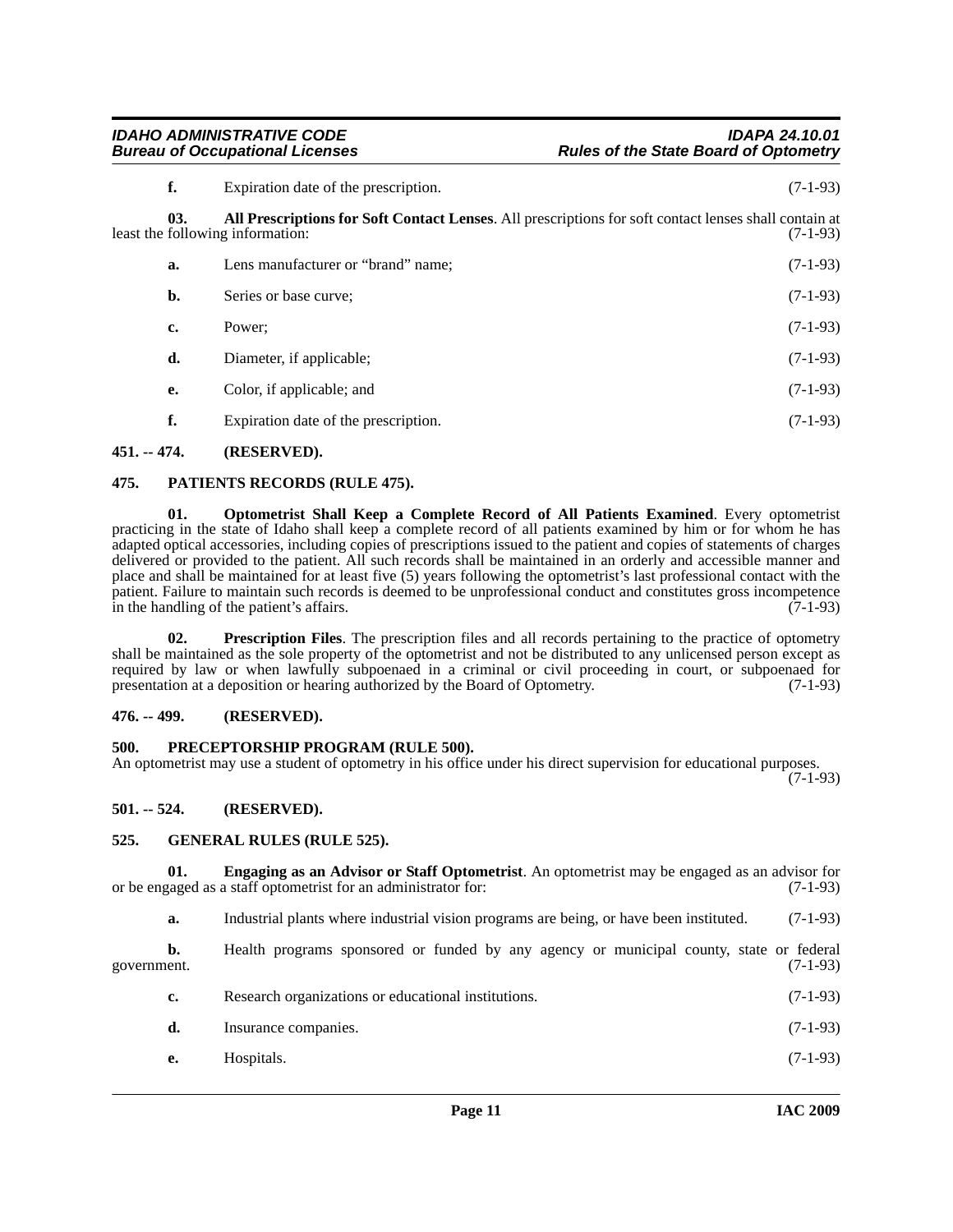# *IDAHO ADMINISTRATIVE CODE IDAPA 24.10.01* **Rules of the State Board of Optometry**

<span id="page-10-6"></span>

| f.  | Expiration date of the prescription.                                                                                                      | $(7-1-93)$ |
|-----|-------------------------------------------------------------------------------------------------------------------------------------------|------------|
| 03. | All Prescriptions for Soft Contact Lenses. All prescriptions for soft contact lenses shall contain at<br>least the following information: | $(7-1-93)$ |
| a.  | Lens manufacturer or "brand" name;                                                                                                        | $(7-1-93)$ |
| b.  | Series or base curve;                                                                                                                     | $(7-1-93)$ |
| c.  | Power:                                                                                                                                    | $(7-1-93)$ |
| d.  | Diameter, if applicable;                                                                                                                  | $(7-1-93)$ |
| е.  | Color, if applicable; and                                                                                                                 | $(7-1-93)$ |
| f.  | Expiration date of the prescription.                                                                                                      | $(7-1-93)$ |

# <span id="page-10-0"></span>**451. -- 474. (RESERVED).**

# <span id="page-10-10"></span><span id="page-10-1"></span>**475. PATIENTS RECORDS (RULE 475).**

<span id="page-10-9"></span>**01. Optometrist Shall Keep a Complete Record of All Patients Examined**. Every optometrist practicing in the state of Idaho shall keep a complete record of all patients examined by him or for whom he has adapted optical accessories, including copies of prescriptions issued to the patient and copies of statements of charges delivered or provided to the patient. All such records shall be maintained in an orderly and accessible manner and place and shall be maintained for at least five (5) years following the optometrist's last professional contact with the patient. Failure to maintain such records is deemed to be unprofessional conduct and constitutes gross incompetence<br>in the handling of the patient's affairs. (7-1-93) in the handling of the patient's affairs.

<span id="page-10-12"></span>**02. Prescription Files**. The prescription files and all records pertaining to the practice of optometry shall be maintained as the sole property of the optometrist and not be distributed to any unlicensed person except as required by law or when lawfully subpoenaed in a criminal or civil proceeding in court, or subpoenaed for presentation at a deposition or hearing authorized by the Board of Optometry. (7-1-93)

# <span id="page-10-2"></span>**476. -- 499. (RESERVED).**

# <span id="page-10-11"></span><span id="page-10-3"></span>**500. PRECEPTORSHIP PROGRAM (RULE 500).**

An optometrist may use a student of optometry in his office under his direct supervision for educational purposes.

(7-1-93)

# <span id="page-10-4"></span>**501. -- 524. (RESERVED).**

# <span id="page-10-8"></span><span id="page-10-5"></span>**525. GENERAL RULES (RULE 525).**

**01. Engaging as an Advisor or Staff Optometrist**. An optometrist may be engaged as an advisor for ranged as a staff optometrist for an administrator for: (7-1-93) or be engaged as a staff optometrist for an administrator for:

<span id="page-10-7"></span>**a.** Industrial plants where industrial vision programs are being, or have been instituted. (7-1-93)

**b.** Health programs sponsored or funded by any agency or municipal county, state or federal government. (7-1-93)

- **c.** Research organizations or educational institutions. (7-1-93)
- **d.** Insurance companies. (7-1-93)
- **e.** Hospitals. (7-1-93)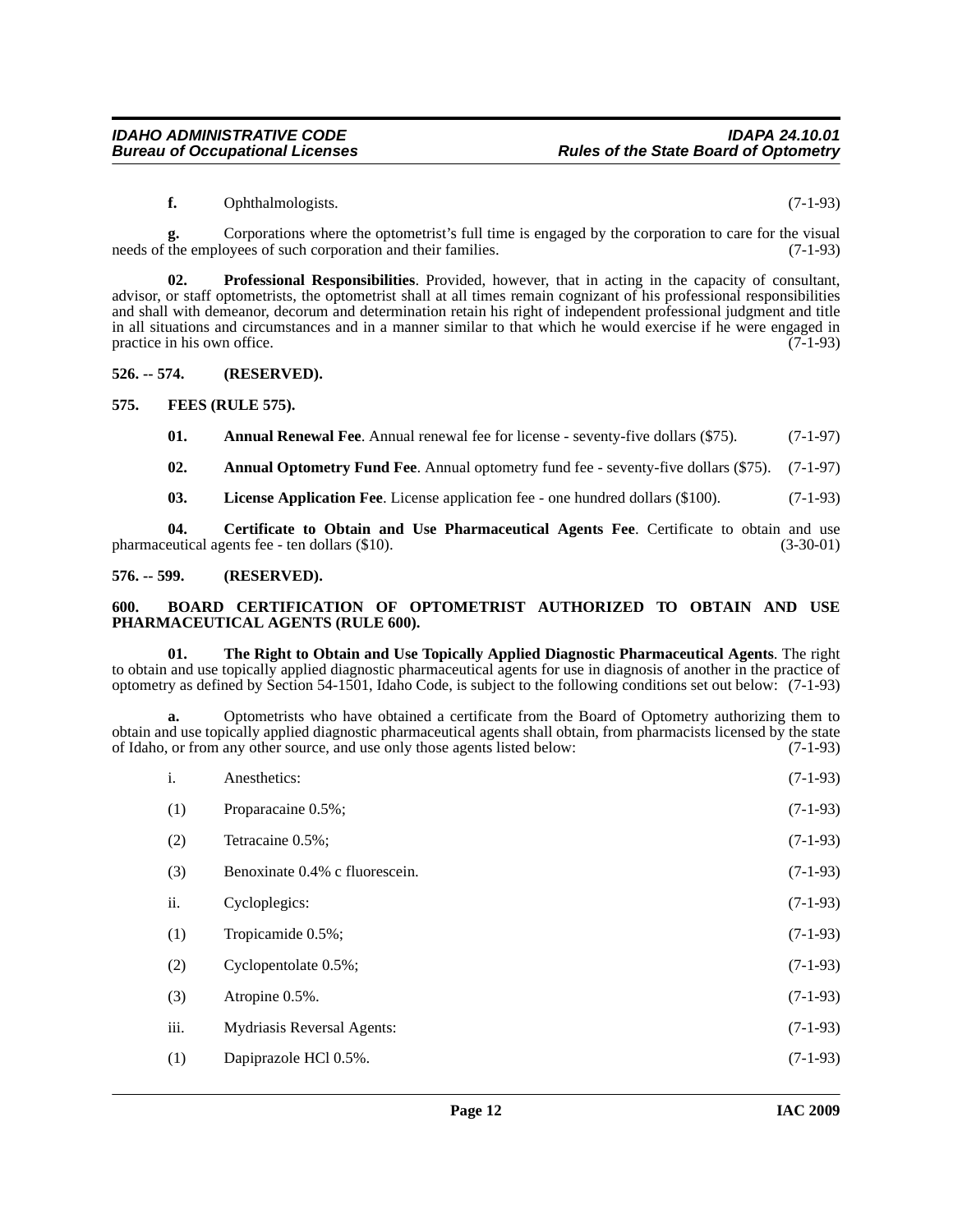#### <span id="page-11-10"></span>**f.** Ophthalmologists. (7-1-93)

**g.** Corporations where the optometrist's full time is engaged by the corporation to care for the visual needs of the employees of such corporation and their families. (7-1-93)

**02. Professional Responsibilities**. Provided, however, that in acting in the capacity of consultant, advisor, or staff optometrists, the optometrist shall at all times remain cognizant of his professional responsibilities and shall with demeanor, decorum and determination retain his right of independent professional judgment and title in all situations and circumstances and in a manner similar to that which he would exercise if he were engaged in practice in his own office. (7-1-93)

#### <span id="page-11-0"></span>**526. -- 574. (RESERVED).**

### <span id="page-11-1"></span>**575. FEES (RULE 575).**

<span id="page-11-8"></span><span id="page-11-5"></span>**01.** Annual Renewal Fee. Annual renewal fee for license - seventy-five dollars (\$75). (7-1-97)

<span id="page-11-4"></span>**02. Annual Optometry Fund Fee**. Annual optometry fund fee - seventy-five dollars (\$75). (7-1-97)

<span id="page-11-9"></span><span id="page-11-7"></span>**03. License Application Fee**. License application fee - one hundred dollars (\$100). (7-1-93)

**04. Certificate to Obtain and Use Pharmaceutical Agents Fee**. Certificate to obtain and use pharmaceutical agents fee - ten dollars (\$10). (3-30-01)

### <span id="page-11-2"></span>**576. -- 599. (RESERVED).**

#### <span id="page-11-6"></span><span id="page-11-3"></span>**600. BOARD CERTIFICATION OF OPTOMETRIST AUTHORIZED TO OBTAIN AND USE PHARMACEUTICAL AGENTS (RULE 600).**

<span id="page-11-11"></span>**01. The Right to Obtain and Use Topically Applied Diagnostic Pharmaceutical Agents**. The right to obtain and use topically applied diagnostic pharmaceutical agents for use in diagnosis of another in the practice of optometry as defined by Section 54-1501, Idaho Code, is subject to the following conditions set out below: (7-1-93)

**a.** Optometrists who have obtained a certificate from the Board of Optometry authorizing them to obtain and use topically applied diagnostic pharmaceutical agents shall obtain, from pharmacists licensed by the state<br>of Idaho, or from any other source, and use only those agents listed below: (7-1-93) of Idaho, or from any other source, and use only those agents listed below:

| i.   | Anesthetics:                      | $(7-1-93)$ |
|------|-----------------------------------|------------|
| (1)  | Proparacaine 0.5%;                | $(7-1-93)$ |
| (2)  | Tetracaine 0.5%;                  | $(7-1-93)$ |
| (3)  | Benoxinate 0.4% c fluorescein.    | $(7-1-93)$ |
| ii.  | Cycloplegics:                     | $(7-1-93)$ |
| (1)  | Tropicamide 0.5%;                 | $(7-1-93)$ |
| (2)  | Cyclopentolate 0.5%;              | $(7-1-93)$ |
| (3)  | Atropine 0.5%.                    | $(7-1-93)$ |
| iii. | <b>Mydriasis Reversal Agents:</b> | $(7-1-93)$ |
| (1)  | Dapiprazole HCl 0.5%.             | $(7-1-93)$ |
|      |                                   |            |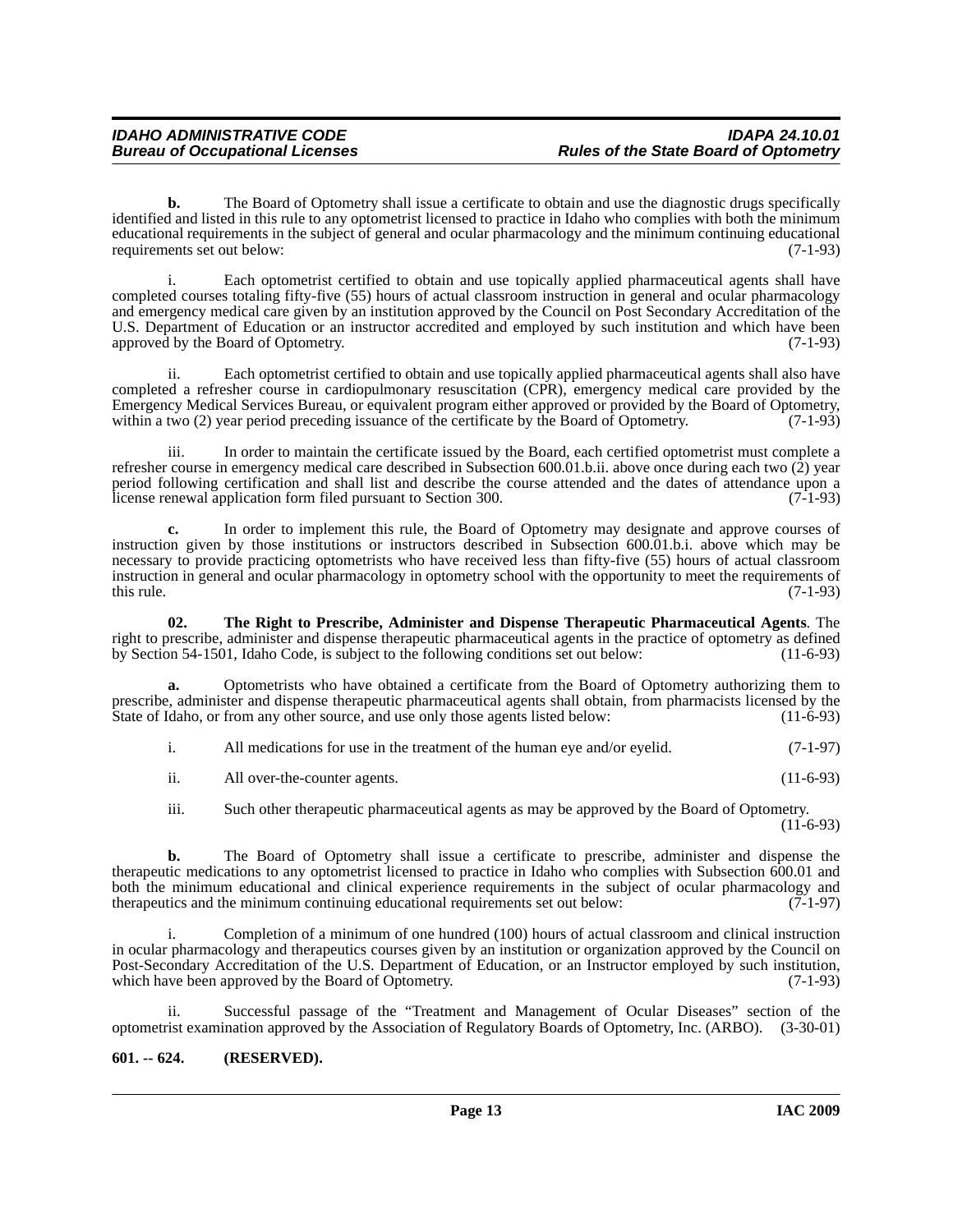**b.** The Board of Optometry shall issue a certificate to obtain and use the diagnostic drugs specifically identified and listed in this rule to any optometrist licensed to practice in Idaho who complies with both the minimum educational requirements in the subject of general and ocular pharmacology and the minimum continuing educational requirements set out below: (7-1-93)

i. Each optometrist certified to obtain and use topically applied pharmaceutical agents shall have completed courses totaling fifty-five (55) hours of actual classroom instruction in general and ocular pharmacology and emergency medical care given by an institution approved by the Council on Post Secondary Accreditation of the U.S. Department of Education or an instructor accredited and employed by such institution and which have been approved by the Board of Optometry. (7-1-93) approved by the Board of Optometry.

ii. Each optometrist certified to obtain and use topically applied pharmaceutical agents shall also have completed a refresher course in cardiopulmonary resuscitation (CPR), emergency medical care provided by the Emergency Medical Services Bureau, or equivalent program either approved or provided by the Board of Optometry, within a two (2) year period preceding issuance of the certificate by the Board of Optometry. (7-1-93) within a two (2) year period preceding issuance of the certificate by the Board of Optometry.

iii. In order to maintain the certificate issued by the Board, each certified optometrist must complete a refresher course in emergency medical care described in Subsection 600.01.b.ii. above once during each two (2) year period following certification and shall list and describe the course attended and the dates of attendance upon a license renewal application form filed pursuant to Section 300. (7-1-93)

**c.** In order to implement this rule, the Board of Optometry may designate and approve courses of instruction given by those institutions or instructors described in Subsection 600.01.b.i. above which may be necessary to provide practicing optometrists who have received less than fifty-five (55) hours of actual classroom instruction in general and ocular pharmacology in optometry school with the opportunity to meet the requirements of this rule.  $(7-1-93)$ 

<span id="page-12-1"></span>**02. The Right to Prescribe, Administer and Dispense Therapeutic Pharmaceutical Agents**. The right to prescribe, administer and dispense therapeutic pharmaceutical agents in the practice of optometry as defined<br>by Section 54-1501, Idaho Code, is subject to the following conditions set out below: (11-6-93) by Section 54-1501, Idaho Code, is subject to the following conditions set out below:

**a.** Optometrists who have obtained a certificate from the Board of Optometry authorizing them to prescribe, administer and dispense therapeutic pharmaceutical agents shall obtain, from pharmacists licensed by the State of Idaho, or from any other source, and use only those agents listed below: (11-6-93) State of Idaho, or from any other source, and use only those agents listed below:

|  | All medications for use in the treatment of the human eve and/or evelid. | $(7-1-97)$ |
|--|--------------------------------------------------------------------------|------------|
|--|--------------------------------------------------------------------------|------------|

| 11. | All over-the-counter agents. | $(11-6-93)$ |  |
|-----|------------------------------|-------------|--|
|     |                              |             |  |

iii. Such other therapeutic pharmaceutical agents as may be approved by the Board of Optometry.

(11-6-93)

**b.** The Board of Optometry shall issue a certificate to prescribe, administer and dispense the therapeutic medications to any optometrist licensed to practice in Idaho who complies with Subsection 600.01 and both the minimum educational and clinical experience requirements in the subject of ocular pharmacology and therapeutics and the minimum continuing educational requirements set out below: (7-1-97)

i. Completion of a minimum of one hundred (100) hours of actual classroom and clinical instruction in ocular pharmacology and therapeutics courses given by an institution or organization approved by the Council on Post-Secondary Accreditation of the U.S. Department of Education, or an Instructor employed by such institution, which have been approved by the Board of Optometry. (7-1-93)

ii. Successful passage of the "Treatment and Management of Ocular Diseases" section of the optometrist examination approved by the Association of Regulatory Boards of Optometry, Inc. (ARBO). (3-30-01)

# <span id="page-12-0"></span>**601. -- 624. (RESERVED).**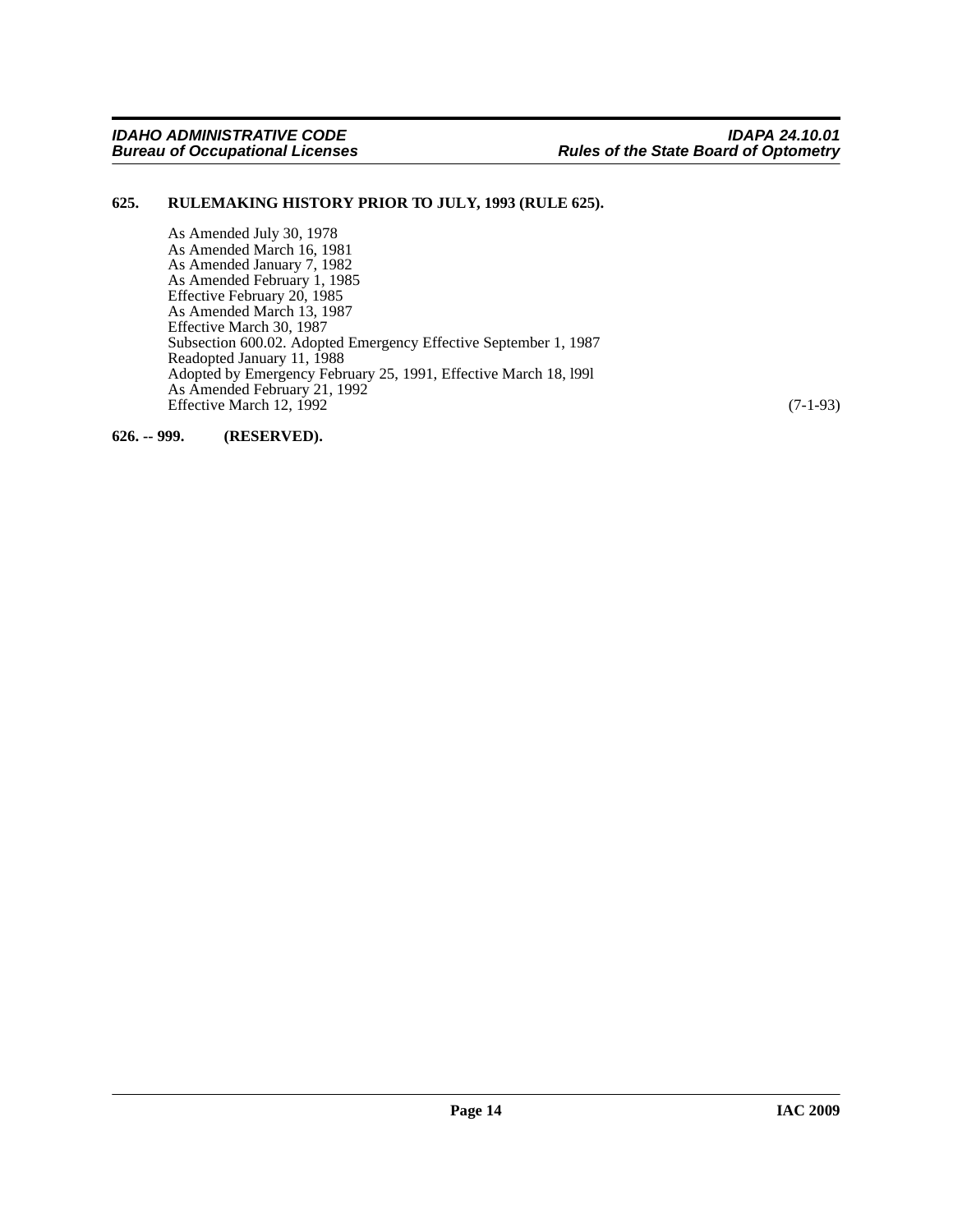# <span id="page-13-0"></span>**625. RULEMAKING HISTORY PRIOR TO JULY, 1993 (RULE 625).**

As Amended July 30, 1978 As Amended March 16, 1981 As Amended January 7, 1982 As Amended February 1, 1985 Effective February 20, 1985 As Amended March 13, 1987 Effective March 30, 1987 Subsection 600.02. Adopted Emergency Effective September 1, 1987 Readopted January 11, 1988 Adopted by Emergency February 25, 1991, Effective March 18, l99l As Amended February 21, 1992 Effective March 12, 1992 (7-1-93)

<span id="page-13-1"></span>**626. -- 999. (RESERVED).**